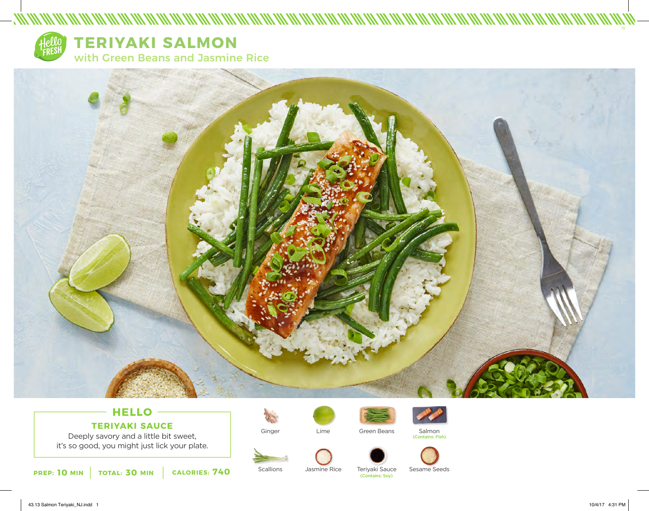

## **TERIYAKI SALMON**

with Green Beans and Jasmine Rice



## **HELLO TERIYAKI SAUCE**

Deeply savory and a little bit sweet, it's so good, you might just lick your plate.



Ginger

**Scallions** 



Jasmine Rice





Salmon (Contains: Fish)





Sesame Seeds

Teriyaki Sauce<br>(Contains: Sov)